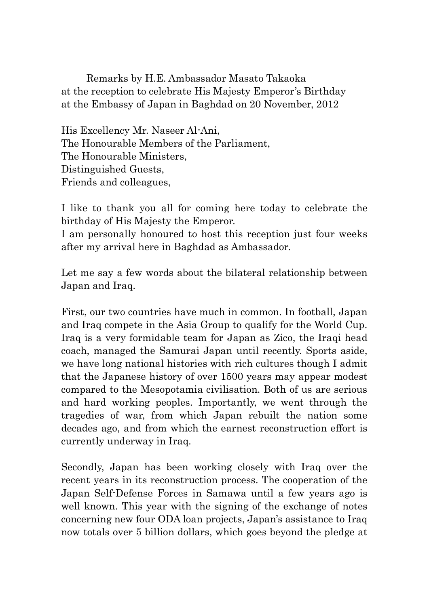Remarks by H.E. Ambassador Masato Takaoka at the reception to celebrate His Majesty Emperor's Birthday at the Embassy of Japan in Baghdad on 20 November, 2012

His Excellency Mr. Naseer Al-Ani, The Honourable Members of the Parliament, The Honourable Ministers, Distinguished Guests, Friends and colleagues,

I like to thank you all for coming here today to celebrate the birthday of His Majesty the Emperor.

I am personally honoured to host this reception just four weeks after my arrival here in Baghdad as Ambassador.

Let me say a few words about the bilateral relationship between Japan and Iraq.

First, our two countries have much in common. In football, Japan and Iraq compete in the Asia Group to qualify for the World Cup. Iraq is a very formidable team for Japan as Zico, the Iraqi head coach, managed the Samurai Japan until recently. Sports aside, we have long national histories with rich cultures though I admit that the Japanese history of over 1500 years may appear modest compared to the Mesopotamia civilisation. Both of us are serious and hard working peoples. Importantly, we went through the tragedies of war, from which Japan rebuilt the nation some decades ago, and from which the earnest reconstruction effort is currently underway in Iraq.

Secondly, Japan has been working closely with Iraq over the recent years in its reconstruction process. The cooperation of the Japan Self-Defense Forces in Samawa until a few years ago is well known. This year with the signing of the exchange of notes concerning new four ODA loan projects, Japan's assistance to Iraq now totals over 5 billion dollars, which goes beyond the pledge at